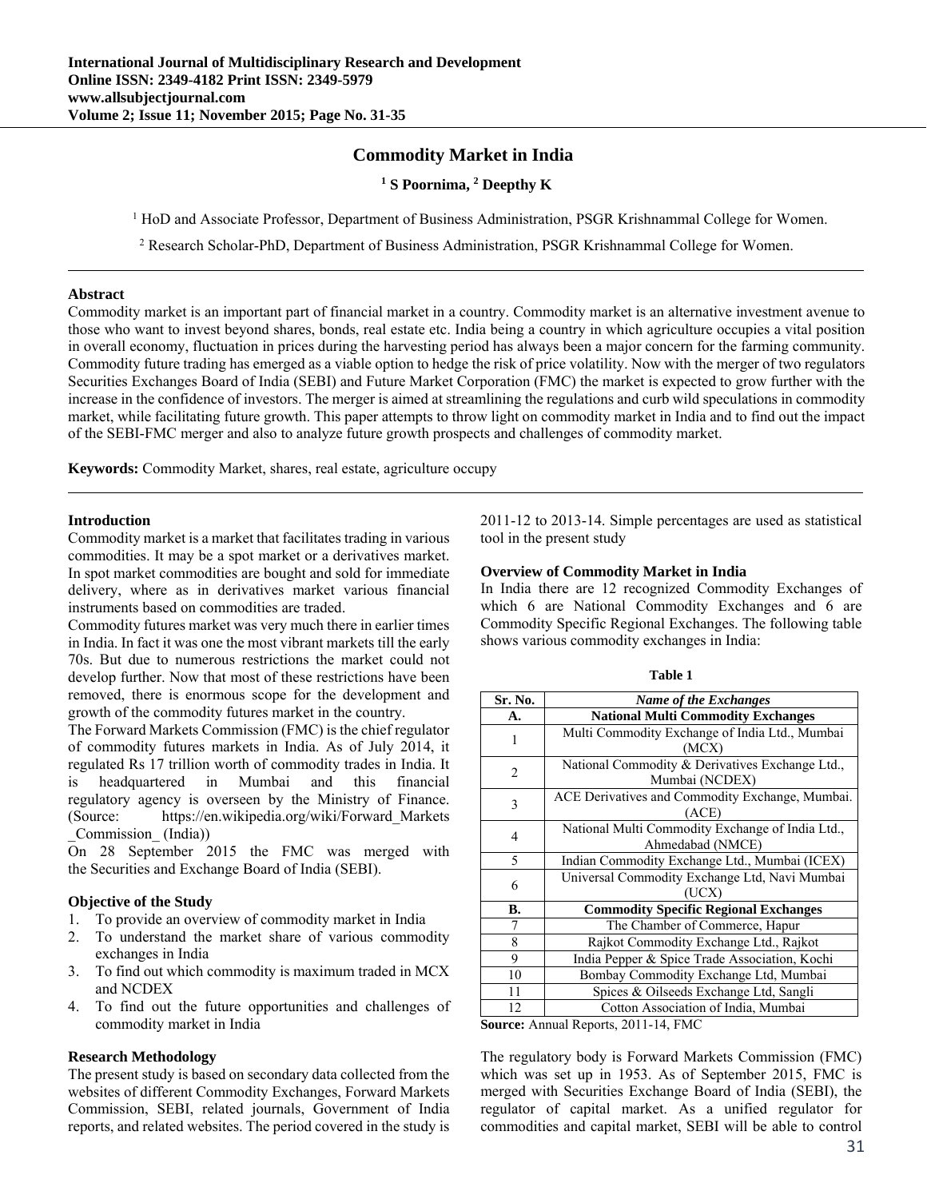# **Commodity Market in India**

# **1 S Poornima, 2 Deepthy K**

<sup>1</sup> HoD and Associate Professor, Department of Business Administration, PSGR Krishnammal College for Women.

<sup>2</sup> Research Scholar-PhD, Department of Business Administration, PSGR Krishnammal College for Women.

#### **Abstract**

Commodity market is an important part of financial market in a country. Commodity market is an alternative investment avenue to those who want to invest beyond shares, bonds, real estate etc. India being a country in which agriculture occupies a vital position in overall economy, fluctuation in prices during the harvesting period has always been a major concern for the farming community. Commodity future trading has emerged as a viable option to hedge the risk of price volatility. Now with the merger of two regulators Securities Exchanges Board of India (SEBI) and Future Market Corporation (FMC) the market is expected to grow further with the increase in the confidence of investors. The merger is aimed at streamlining the regulations and curb wild speculations in commodity market, while facilitating future growth. This paper attempts to throw light on commodity market in India and to find out the impact of the SEBI-FMC merger and also to analyze future growth prospects and challenges of commodity market.

**Keywords:** Commodity Market, shares, real estate, agriculture occupy

### **Introduction**

Commodity market is a market that facilitates trading in various commodities. It may be a spot market or a derivatives market. In spot market commodities are bought and sold for immediate delivery, where as in derivatives market various financial instruments based on commodities are traded.

Commodity futures market was very much there in earlier times in India. In fact it was one the most vibrant markets till the early 70s. But due to numerous restrictions the market could not develop further. Now that most of these restrictions have been removed, there is enormous scope for the development and growth of the commodity futures market in the country.

The Forward Markets Commission (FMC) is the chief regulator of commodity futures markets in India. As of July 2014, it regulated Rs 17 trillion worth of commodity trades in India. It is headquartered in Mumbai and this financial regulatory agency is overseen by the Ministry of Finance. (Source: https://en.wikipedia.org/wiki/Forward\_Markets \_Commission\_ (India))

On 28 September 2015 the FMC was merged with the Securities and Exchange Board of India (SEBI).

## **Objective of the Study**

- 1. To provide an overview of commodity market in India
- 2. To understand the market share of various commodity exchanges in India
- 3. To find out which commodity is maximum traded in MCX and NCDEX
- 4. To find out the future opportunities and challenges of commodity market in India

# **Research Methodology**

The present study is based on secondary data collected from the websites of different Commodity Exchanges, Forward Markets Commission, SEBI, related journals, Government of India reports, and related websites. The period covered in the study is 2011-12 to 2013-14. Simple percentages are used as statistical tool in the present study

#### **Overview of Commodity Market in India**

In India there are 12 recognized Commodity Exchanges of which 6 are National Commodity Exchanges and 6 are Commodity Specific Regional Exchanges. The following table shows various commodity exchanges in India:

| ablo |  |
|------|--|
|------|--|

| Sr. No. | <b>Name of the Exchanges</b>                     |
|---------|--------------------------------------------------|
| А.      | <b>National Multi Commodity Exchanges</b>        |
| 1       | Multi Commodity Exchange of India Ltd., Mumbai   |
|         | (MCX)                                            |
| 2       | National Commodity & Derivatives Exchange Ltd.,  |
|         | Mumbai (NCDEX)                                   |
| 3       | ACE Derivatives and Commodity Exchange, Mumbai.  |
|         | (ACE)                                            |
| 4       | National Multi Commodity Exchange of India Ltd., |
|         | Ahmedabad (NMCE)                                 |
| 5       | Indian Commodity Exchange Ltd., Mumbai (ICEX)    |
| 6       | Universal Commodity Exchange Ltd, Navi Mumbai    |
|         | (UCX)                                            |
| В.      | <b>Commodity Specific Regional Exchanges</b>     |
| 7       | The Chamber of Commerce, Hapur                   |
| 8       | Rajkot Commodity Exchange Ltd., Rajkot           |
| 9       | India Pepper & Spice Trade Association, Kochi    |
| 10      | Bombay Commodity Exchange Ltd, Mumbai            |
| 11      | Spices & Oilseeds Exchange Ltd, Sangli           |
| 12      | Cotton Association of India, Mumbai              |

**Source:** Annual Reports, 2011-14, FMC

The regulatory body is Forward Markets Commission (FMC) which was set up in 1953. As of September 2015, FMC is merged with Securities Exchange Board of India (SEBI), the regulator of capital market. As a unified regulator for commodities and capital market, SEBI will be able to control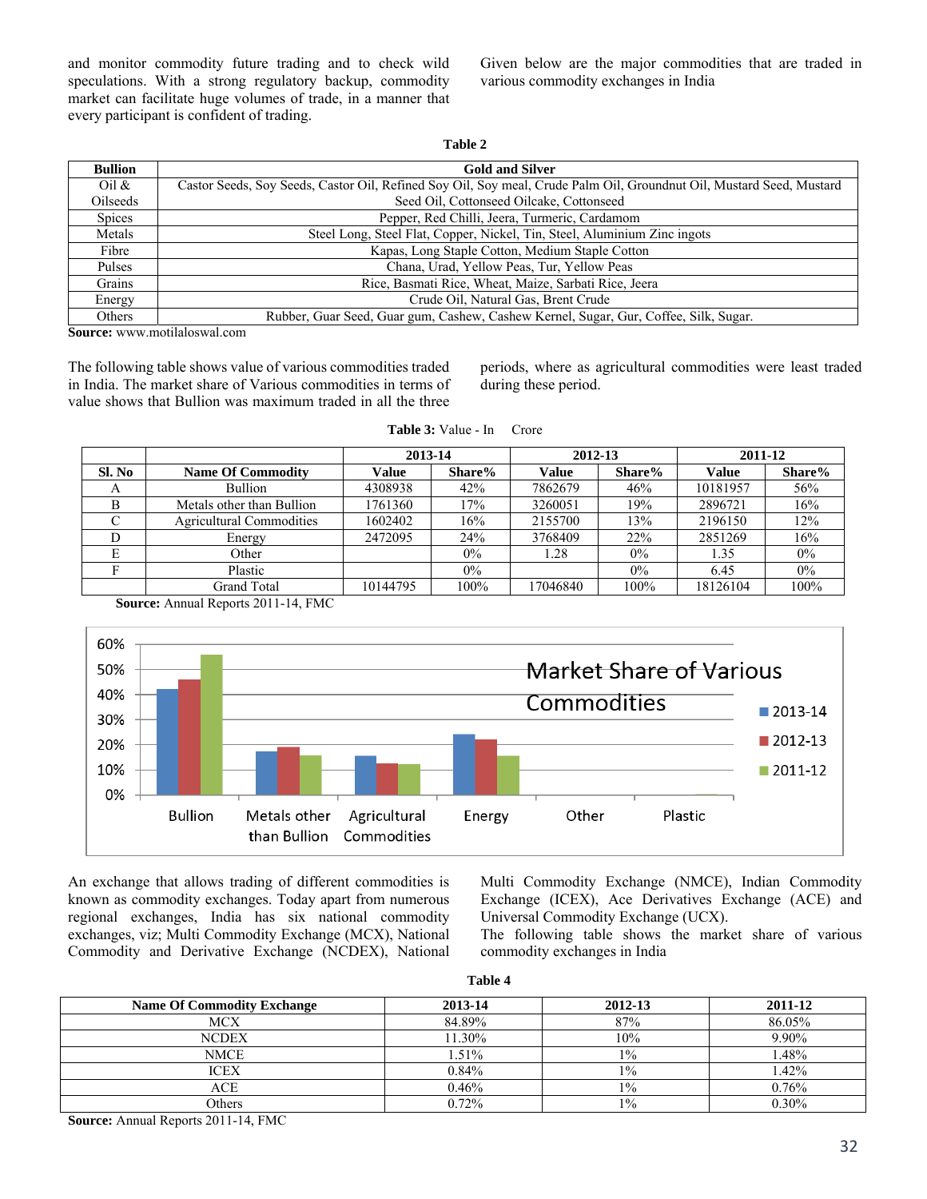and monitor commodity future trading and to check wild speculations. With a strong regulatory backup, commodity market can facilitate huge volumes of trade, in a manner that every participant is confident of trading.

Given below are the major commodities that are traded in various commodity exchanges in India

| m<br>11 |  |
|---------|--|
|---------|--|

| <b>Bullion</b>  | <b>Gold and Silver</b>                                                                                               |
|-----------------|----------------------------------------------------------------------------------------------------------------------|
| Oil $\&$        | Castor Seeds, Soy Seeds, Castor Oil, Refined Soy Oil, Soy meal, Crude Palm Oil, Groundnut Oil, Mustard Seed, Mustard |
| <b>Oilseeds</b> | Seed Oil, Cottonseed Oilcake, Cottonseed                                                                             |
| <b>Spices</b>   | Pepper, Red Chilli, Jeera, Turmeric, Cardamom                                                                        |
| Metals          | Steel Long, Steel Flat, Copper, Nickel, Tin, Steel, Aluminium Zinc ingots                                            |
| Fibre           | Kapas, Long Staple Cotton, Medium Staple Cotton                                                                      |
| Pulses          | Chana, Urad, Yellow Peas, Tur, Yellow Peas                                                                           |
| Grains          | Rice, Basmati Rice, Wheat, Maize, Sarbati Rice, Jeera                                                                |
| Energy          | Crude Oil, Natural Gas, Brent Crude                                                                                  |
| Others          | Rubber, Guar Seed, Guar gum, Cashew, Cashew Kernel, Sugar, Gur, Coffee, Silk, Sugar.                                 |
|                 |                                                                                                                      |

**Source:** www.motilaloswal.com

The following table shows value of various commodities traded in India. The market share of Various commodities in terms of value shows that Bullion was maximum traded in all the three periods, where as agricultural commodities were least traded during these period.

|        |                                 | 2013-14  |        | 2012-13      |        | 2011-12  |        |
|--------|---------------------------------|----------|--------|--------------|--------|----------|--------|
| Sl. No | <b>Name Of Commodity</b>        | Value    | Share% | <b>Value</b> | Share% | Value    | Share% |
| A      | Bullion                         | 4308938  | 42%    | 7862679      | 46%    | 10181957 | 56%    |
| B      | Metals other than Bullion       | 1761360  | 17%    | 3260051      | 19%    | 2896721  | 16%    |
| C      | <b>Agricultural Commodities</b> | 1602402  | 16%    | 2155700      | 13%    | 2196150  | 12%    |
| D      | Energy                          | 2472095  | 24%    | 3768409      | 22%    | 2851269  | 16%    |
| E      | Other                           |          | $0\%$  | 1.28         | $0\%$  | 1.35     | $0\%$  |
|        | Plastic                         |          | $0\%$  |              | $0\%$  | 6.45     | 0%     |
|        | Grand Total                     | 10144795 | 100%   | 17046840     | 100%   | 18126104 | 100%   |

**Table 3:** Value - In Crore

**Source:** Annual Reports 2011-14, FMC



An exchange that allows trading of different commodities is known as commodity exchanges. Today apart from numerous regional exchanges, India has six national commodity exchanges, viz; Multi Commodity Exchange (MCX), National Commodity and Derivative Exchange (NCDEX), National Multi Commodity Exchange (NMCE), Indian Commodity Exchange (ICEX), Ace Derivatives Exchange (ACE) and Universal Commodity Exchange (UCX).

The following table shows the market share of various commodity exchanges in India

| `able |  |
|-------|--|
|-------|--|

| <b>Name Of Commodity Exchange</b> | 2013-14 | 2012-13 | 2011-12 |
|-----------------------------------|---------|---------|---------|
| <b>MCX</b>                        | 84.89%  | 87%     | 86.05%  |
| <b>NCDEX</b>                      | 11.30%  | 10%     | 9.90%   |
| NMCE                              | 1.51%   | $1\%$   | .48%    |
| ICEX                              | 0.84%   | $1\%$   | .42%    |
| ACE                               | 0.46%   | $1\%$   | 0.76%   |
| Others                            | 0.72%   | $1\%$   | 0.30%   |

**Source:** Annual Reports 2011-14, FMC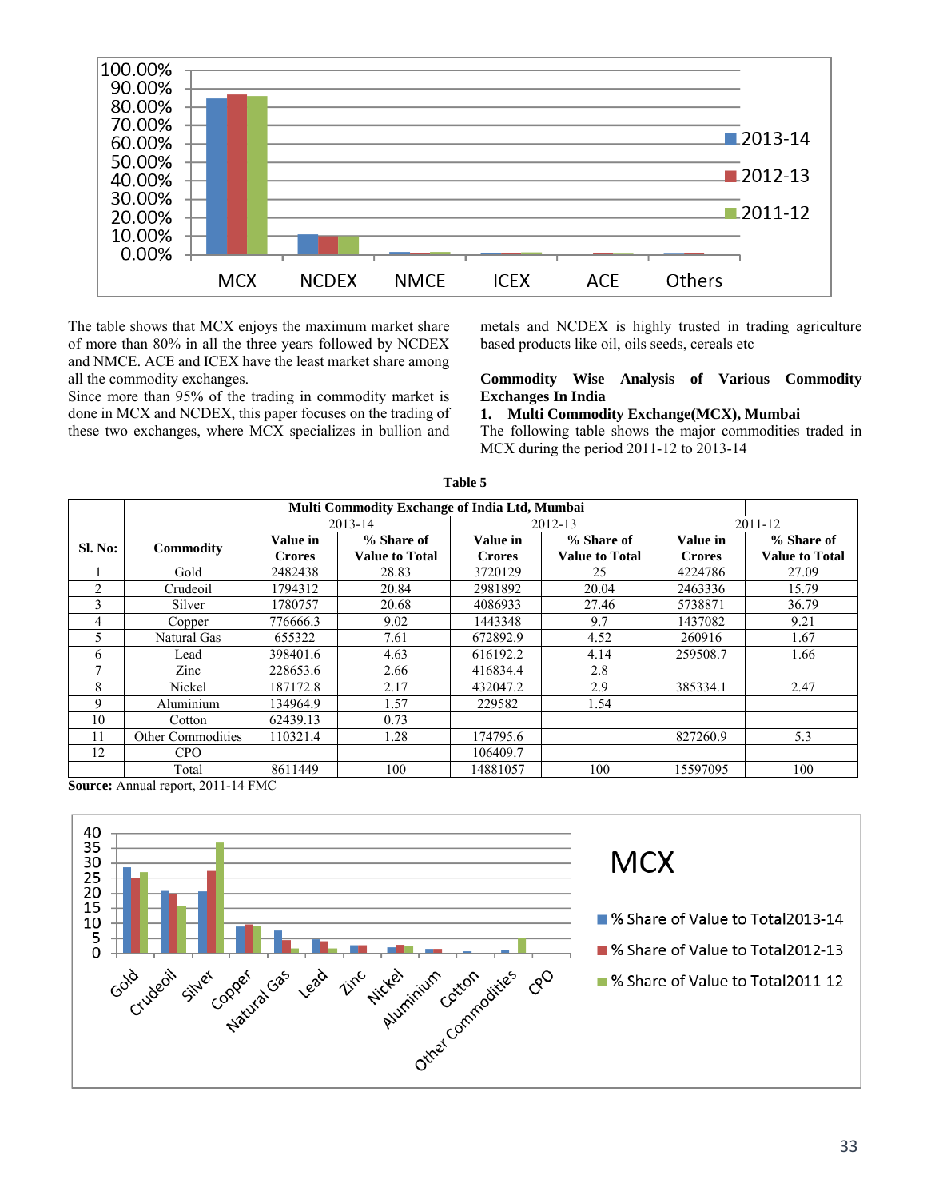

The table shows that MCX enjoys the maximum market share of more than 80% in all the three years followed by NCDEX and NMCE. ACE and ICEX have the least market share among all the commodity exchanges.

Since more than 95% of the trading in commodity market is done in MCX and NCDEX, this paper focuses on the trading of these two exchanges, where MCX specializes in bullion and

metals and NCDEX is highly trusted in trading agriculture based products like oil, oils seeds, cereals etc

#### **Commodity Wise Analysis of Various Commodity Exchanges In India**

**1. Multi Commodity Exchange(MCX), Mumbai** 

The following table shows the major commodities traded in MCX during the period 2011-12 to 2013-14

| Multi Commodity Exchange of India Ltd, Mumbai |                          |               |                       |               |                       |               |                       |
|-----------------------------------------------|--------------------------|---------------|-----------------------|---------------|-----------------------|---------------|-----------------------|
|                                               |                          | 2013-14       |                       |               | 2012-13               |               | 2011-12               |
| Sl. No:                                       | Commodity                | Value in      | % Share of            | Value in      | % Share of            | Value in      | % Share of            |
|                                               |                          | <b>Crores</b> | <b>Value to Total</b> | <b>Crores</b> | <b>Value to Total</b> | <b>Crores</b> | <b>Value to Total</b> |
|                                               | Gold                     | 2482438       | 28.83                 | 3720129       | 25                    | 4224786       | 27.09                 |
| $\overline{c}$                                | Crudeoil                 | 1794312       | 20.84                 | 2981892       | 20.04                 | 2463336       | 15.79                 |
| 3                                             | Silver                   | 1780757       | 20.68                 | 4086933       | 27.46                 | 5738871       | 36.79                 |
| 4                                             | Copper                   | 776666.3      | 9.02                  | 1443348       | 9.7                   | 1437082       | 9.21                  |
| 5                                             | Natural Gas              | 655322        | 7.61                  | 672892.9      | 4.52                  | 260916        | 1.67                  |
| 6                                             | Lead                     | 398401.6      | 4.63                  | 616192.2      | 4.14                  | 259508.7      | 1.66                  |
| 7                                             | Zinc                     | 228653.6      | 2.66                  | 416834.4      | 2.8                   |               |                       |
| 8                                             | Nickel                   | 187172.8      | 2.17                  | 432047.2      | 2.9                   | 385334.1      | 2.47                  |
| 9                                             | Aluminium                | 134964.9      | 1.57                  | 229582        | 1.54                  |               |                       |
| 10                                            | Cotton                   | 62439.13      | 0.73                  |               |                       |               |                       |
| 11                                            | <b>Other Commodities</b> | 110321.4      | 1.28                  | 174795.6      |                       | 827260.9      | 5.3                   |
| 12                                            | <b>CPO</b>               |               |                       | 106409.7      |                       |               |                       |
|                                               | Total                    | 8611449       | 100                   | 14881057      | 100                   | 15597095      | 100                   |

**Table 5** 

**Source:** Annual report, 2011-14 FMC

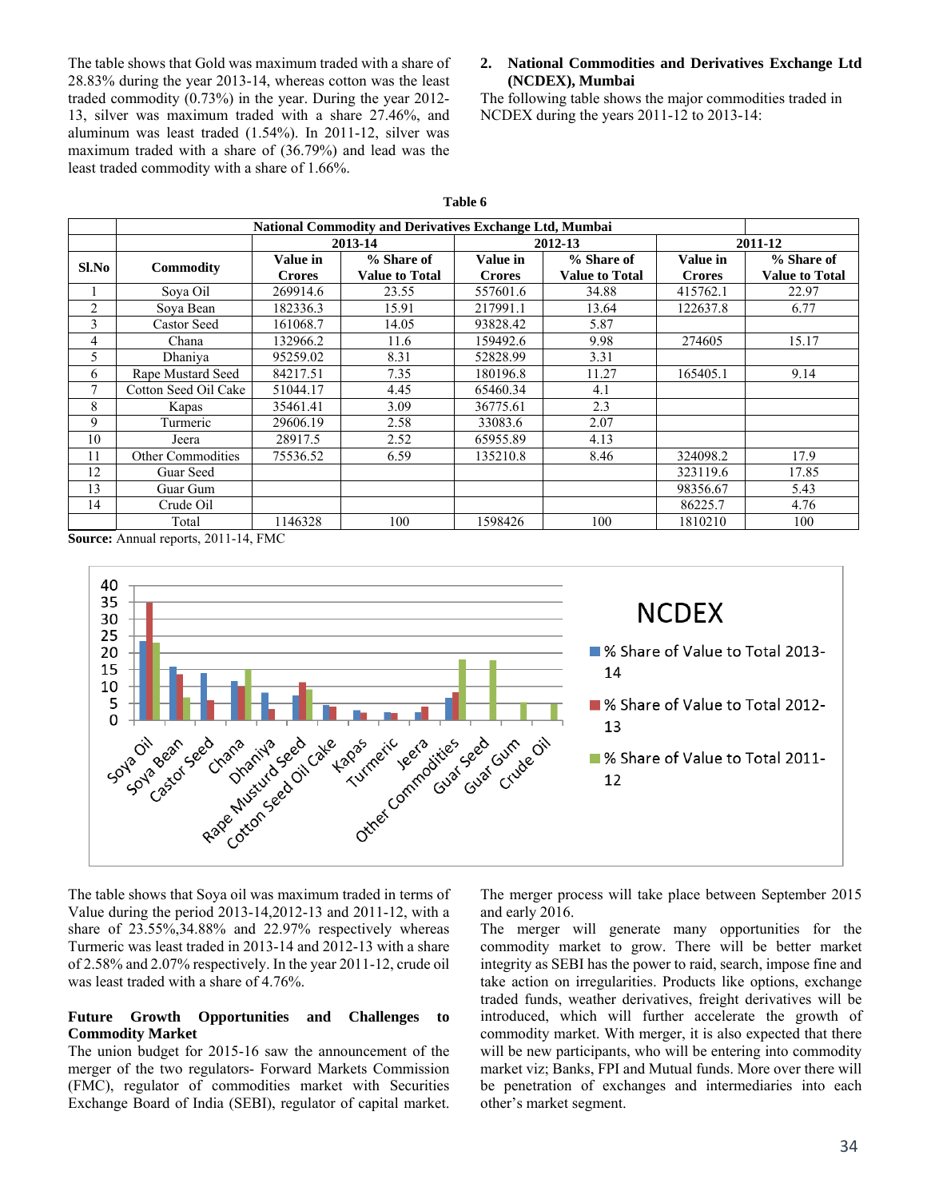The table shows that Gold was maximum traded with a share of 28.83% during the year 2013-14, whereas cotton was the least traded commodity (0.73%) in the year. During the year 2012- 13, silver was maximum traded with a share 27.46%, and aluminum was least traded (1.54%). In 2011-12, silver was maximum traded with a share of (36.79%) and lead was the least traded commodity with a share of 1.66%.

### **2. National Commodities and Derivatives Exchange Ltd (NCDEX), Mumbai**

The following table shows the major commodities traded in NCDEX during the years 2011-12 to 2013-14:

|                | <b>National Commodity and Derivatives Exchange Ltd, Mumbai</b> |               |                       |               |                       |               |                       |
|----------------|----------------------------------------------------------------|---------------|-----------------------|---------------|-----------------------|---------------|-----------------------|
|                |                                                                | 2013-14       |                       |               | 2012-13               | 2011-12       |                       |
| Sl.No          |                                                                | Value in      | % Share of            | Value in      | % Share of            | Value in      | % Share of            |
|                | Commodity                                                      | <b>Crores</b> | <b>Value to Total</b> | <b>Crores</b> | <b>Value to Total</b> | <b>Crores</b> | <b>Value to Total</b> |
|                | Sova Oil                                                       | 269914.6      | 23.55                 | 557601.6      | 34.88                 | 415762.1      | 22.97                 |
| $\overline{c}$ | Sova Bean                                                      | 182336.3      | 15.91                 | 217991.1      | 13.64                 | 122637.8      | 6.77                  |
| 3              | <b>Castor Seed</b>                                             | 161068.7      | 14.05                 | 93828.42      | 5.87                  |               |                       |
| 4              | Chana                                                          | 132966.2      | 11.6                  | 159492.6      | 9.98                  | 274605        | 15.17                 |
| 5              | Dhaniya                                                        | 95259.02      | 8.31                  | 52828.99      | 3.31                  |               |                       |
| 6              | Rape Mustard Seed                                              | 84217.51      | 7.35                  | 180196.8      | 11.27                 | 165405.1      | 9.14                  |
| 7              | Cotton Seed Oil Cake                                           | 51044.17      | 4.45                  | 65460.34      | 4.1                   |               |                       |
| 8              | Kapas                                                          | 35461.41      | 3.09                  | 36775.61      | 2.3                   |               |                       |
| 9              | Turmeric                                                       | 29606.19      | 2.58                  | 33083.6       | 2.07                  |               |                       |
| 10             | Jeera                                                          | 28917.5       | 2.52                  | 65955.89      | 4.13                  |               |                       |
| 11             | <b>Other Commodities</b>                                       | 75536.52      | 6.59                  | 135210.8      | 8.46                  | 324098.2      | 17.9                  |
| 12             | Guar Seed                                                      |               |                       |               |                       | 323119.6      | 17.85                 |
| 13             | Guar Gum                                                       |               |                       |               |                       | 98356.67      | 5.43                  |
| 14             | Crude Oil                                                      |               |                       |               |                       | 86225.7       | 4.76                  |
|                | Total                                                          | 1146328       | 100                   | 1598426       | 100                   | 1810210       | 100                   |

**Table 6** 

**Source:** Annual reports, 2011-14, FMC



The table shows that Soya oil was maximum traded in terms of Value during the period 2013-14,2012-13 and 2011-12, with a share of 23.55%,34.88% and 22.97% respectively whereas Turmeric was least traded in 2013-14 and 2012-13 with a share of 2.58% and 2.07% respectively. In the year 2011-12, crude oil was least traded with a share of 4.76%.

### **Future Growth Opportunities and Challenges to Commodity Market**

The union budget for 2015-16 saw the announcement of the merger of the two regulators- Forward Markets Commission (FMC), regulator of commodities market with Securities Exchange Board of India (SEBI), regulator of capital market.

The merger process will take place between September 2015 and early 2016.

The merger will generate many opportunities for the commodity market to grow. There will be better market integrity as SEBI has the power to raid, search, impose fine and take action on irregularities. Products like options, exchange traded funds, weather derivatives, freight derivatives will be introduced, which will further accelerate the growth of commodity market. With merger, it is also expected that there will be new participants, who will be entering into commodity market viz; Banks, FPI and Mutual funds. More over there will be penetration of exchanges and intermediaries into each other's market segment.